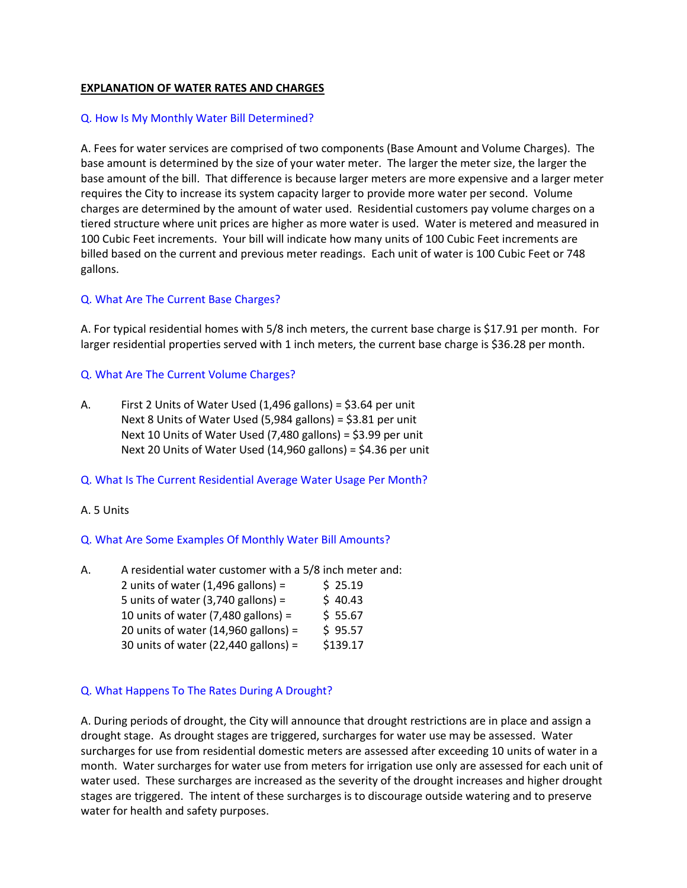# **EXPLANATION OF WATER RATES AND CHARGES**

#### Q. How Is My Monthly Water Bill Determined?

A. Fees for water services are comprised of two components (Base Amount and Volume Charges). The base amount is determined by the size of your water meter. The larger the meter size, the larger the base amount of the bill. That difference is because larger meters are more expensive and a larger meter requires the City to increase its system capacity larger to provide more water per second. Volume charges are determined by the amount of water used. Residential customers pay volume charges on a tiered structure where unit prices are higher as more water is used. Water is metered and measured in 100 Cubic Feet increments. Your bill will indicate how many units of 100 Cubic Feet increments are billed based on the current and previous meter readings. Each unit of water is 100 Cubic Feet or 748 gallons.

# Q. What Are The Current Base Charges?

A. For typical residential homes with 5/8 inch meters, the current base charge is \$17.91 per month. For larger residential properties served with 1 inch meters, the current base charge is \$36.28 per month.

## Q. What Are The Current Volume Charges?

A. First 2 Units of Water Used (1,496 gallons) = \$3.64 per unit Next 8 Units of Water Used (5,984 gallons) = \$3.81 per unit Next 10 Units of Water Used (7,480 gallons) = \$3.99 per unit Next 20 Units of Water Used (14,960 gallons) = \$4.36 per unit

#### Q. What Is The Current Residential Average Water Usage Per Month?

#### A. 5 Units

# Q. What Are Some Examples Of Monthly Water Bill Amounts?

| Α. | A residential water customer with a 5/8 inch meter and: |          |  |
|----|---------------------------------------------------------|----------|--|
|    | 2 units of water $(1,496$ gallons) =                    | \$25.19  |  |
|    | 5 units of water $(3,740 \text{ gallons}) =$            | \$40.43  |  |
|    | 10 units of water $(7,480$ gallons) =                   | \$55.67  |  |
|    | 20 units of water $(14,960 \text{ gallons}) =$          | \$95.57  |  |
|    | 30 units of water (22,440 gallons) =                    | \$139.17 |  |
|    |                                                         |          |  |

#### Q. What Happens To The Rates During A Drought?

A. During periods of drought, the City will announce that drought restrictions are in place and assign a drought stage. As drought stages are triggered, surcharges for water use may be assessed. Water surcharges for use from residential domestic meters are assessed after exceeding 10 units of water in a month. Water surcharges for water use from meters for irrigation use only are assessed for each unit of water used. These surcharges are increased as the severity of the drought increases and higher drought stages are triggered. The intent of these surcharges is to discourage outside watering and to preserve water for health and safety purposes.